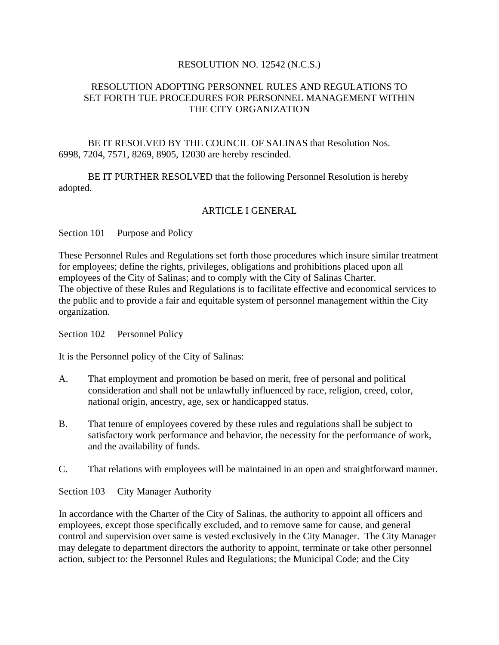### RESOLUTION NO. 12542 (N.C.S.)

### RESOLUTION ADOPTING PERSONNEL RULES AND REGULATIONS TO SET FORTH TUE PROCEDURES FOR PERSONNEL MANAGEMENT WITHIN THE CITY ORGANIZATION

BE IT RESOLVED BY THE COUNCIL OF SALINAS that Resolution Nos. 6998, 7204, 7571, 8269, 8905, 12030 are hereby rescinded.

BE IT PURTHER RESOLVED that the following Personnel Resolution is hereby adopted.

### ARTICLE I GENERAL

Section 101 Purpose and Policy

These Personnel Rules and Regulations set forth those procedures which insure similar treatment for employees; define the rights, privileges, obligations and prohibitions placed upon all employees of the City of Salinas; and to comply with the City of Salinas Charter. The objective of these Rules and Regulations is to facilitate effective and economical services to the public and to provide a fair and equitable system of personnel management within the City organization.

Section 102 Personnel Policy

It is the Personnel policy of the City of Salinas:

- A. That employment and promotion be based on merit, free of personal and political consideration and shall not be unlawfully influenced by race, religion, creed, color, national origin, ancestry, age, sex or handicapped status.
- B. That tenure of employees covered by these rules and regulations shall be subject to satisfactory work performance and behavior, the necessity for the performance of work, and the availability of funds.
- C. That relations with employees will be maintained in an open and straightforward manner.

Section 103 City Manager Authority

In accordance with the Charter of the City of Salinas, the authority to appoint all officers and employees, except those specifically excluded, and to remove same for cause, and general control and supervision over same is vested exclusively in the City Manager. The City Manager may delegate to department directors the authority to appoint, terminate or take other personnel action, subject to: the Personnel Rules and Regulations; the Municipal Code; and the City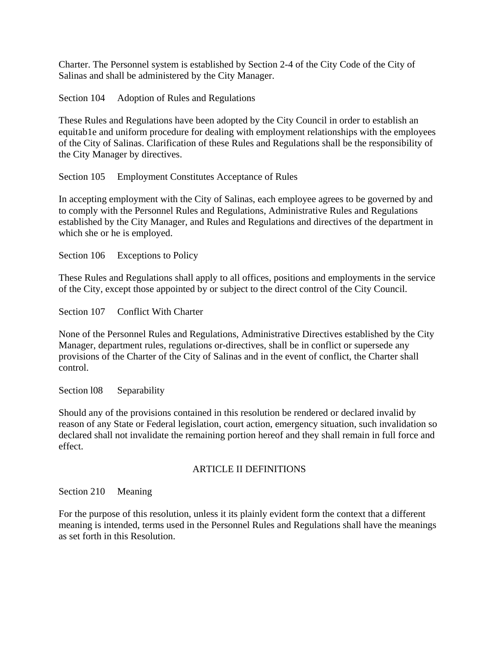Charter. The Personnel system is established by Section 2-4 of the City Code of the City of Salinas and shall be administered by the City Manager.

Section 104 Adoption of Rules and Regulations

These Rules and Regulations have been adopted by the City Council in order to establish an equitab1e and uniform procedure for dealing with employment relationships with the employees of the City of Salinas. Clarification of these Rules and Regulations shall be the responsibility of the City Manager by directives.

Section 105 Employment Constitutes Acceptance of Rules

In accepting employment with the City of Salinas, each employee agrees to be governed by and to comply with the Personnel Rules and Regulations, Administrative Rules and Regulations established by the City Manager, and Rules and Regulations and directives of the department in which she or he is employed.

Section 106 Exceptions to Policy

These Rules and Regulations shall apply to all offices, positions and employments in the service of the City, except those appointed by or subject to the direct control of the City Council.

Section 107 Conflict With Charter

None of the Personnel Rules and Regulations, Administrative Directives established by the City Manager, department rules, regulations or-directives, shall be in conflict or supersede any provisions of the Charter of the City of Salinas and in the event of conflict, the Charter shall control.

Section 108 Separability

Should any of the provisions contained in this resolution be rendered or declared invalid by reason of any State or Federal legislation, court action, emergency situation, such invalidation so declared shall not invalidate the remaining portion hereof and they shall remain in full force and effect.

### ARTICLE II DEFINITIONS

Section 210 Meaning

For the purpose of this resolution, unless it its plainly evident form the context that a different meaning is intended, terms used in the Personnel Rules and Regulations shall have the meanings as set forth in this Resolution.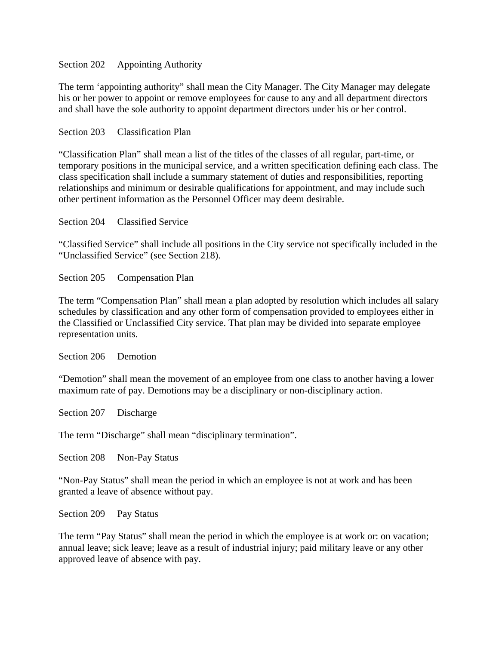### Section 202 Appointing Authority

The term 'appointing authority" shall mean the City Manager. The City Manager may delegate his or her power to appoint or remove employees for cause to any and all department directors and shall have the sole authority to appoint department directors under his or her control.

Section 203 Classification Plan

"Classification Plan" shall mean a list of the titles of the classes of all regular, part-time, or temporary positions in the municipal service, and a written specification defining each class. The class specification shall include a summary statement of duties and responsibilities, reporting relationships and minimum or desirable qualifications for appointment, and may include such other pertinent information as the Personnel Officer may deem desirable.

Section 204 Classified Service

"Classified Service" shall include all positions in the City service not specifically included in the "Unclassified Service" (see Section 218).

Section 205 Compensation Plan

The term "Compensation Plan" shall mean a plan adopted by resolution which includes all salary schedules by classification and any other form of compensation provided to employees either in the Classified or Unclassified City service. That plan may be divided into separate employee representation units.

Section 206 Demotion

"Demotion" shall mean the movement of an employee from one class to another having a lower maximum rate of pay. Demotions may be a disciplinary or non-disciplinary action.

Section 207 Discharge

The term "Discharge" shall mean "disciplinary termination".

Section 208 Non-Pay Status

"Non-Pay Status" shall mean the period in which an employee is not at work and has been granted a leave of absence without pay.

Section 209 Pay Status

The term "Pay Status" shall mean the period in which the employee is at work or: on vacation; annual leave; sick leave; leave as a result of industrial injury; paid military leave or any other approved leave of absence with pay.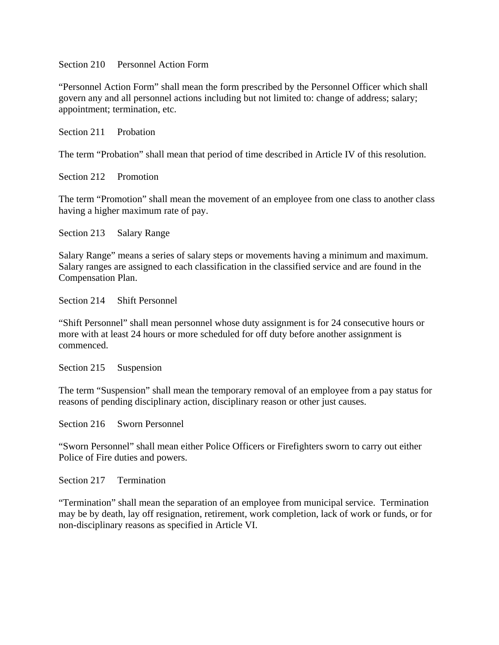Section 210 Personnel Action Form

"Personnel Action Form" shall mean the form prescribed by the Personnel Officer which shall govern any and all personnel actions including but not limited to: change of address; salary; appointment; termination, etc.

Section 211 Probation

The term "Probation" shall mean that period of time described in Article IV of this resolution.

Section 212 Promotion

The term "Promotion" shall mean the movement of an employee from one class to another class having a higher maximum rate of pay.

Section 213 Salary Range

Salary Range" means a series of salary steps or movements having a minimum and maximum. Salary ranges are assigned to each classification in the classified service and are found in the Compensation Plan.

Section 214 Shift Personnel

"Shift Personnel" shall mean personnel whose duty assignment is for 24 consecutive hours or more with at least 24 hours or more scheduled for off duty before another assignment is commenced.

Section 215 Suspension

The term "Suspension" shall mean the temporary removal of an employee from a pay status for reasons of pending disciplinary action, disciplinary reason or other just causes.

Section 216 Sworn Personnel

"Sworn Personnel" shall mean either Police Officers or Firefighters sworn to carry out either Police of Fire duties and powers.

Section 217 Termination

"Termination" shall mean the separation of an employee from municipal service. Termination may be by death, lay off resignation, retirement, work completion, lack of work or funds, or for non-disciplinary reasons as specified in Article VI.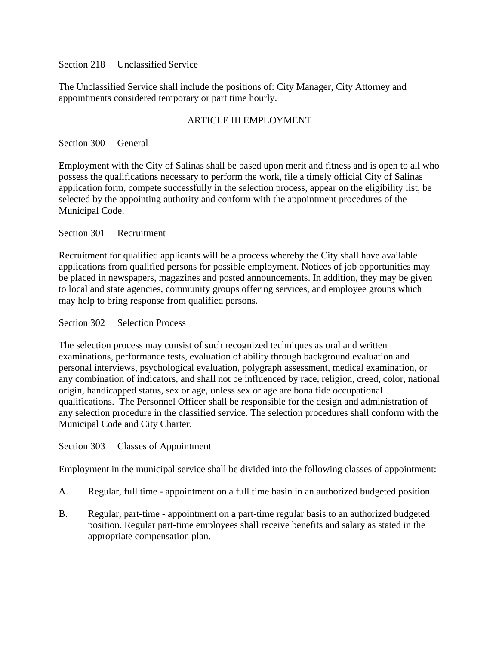### Section 218 Unclassified Service

The Unclassified Service shall include the positions of: City Manager, City Attorney and appointments considered temporary or part time hourly.

## ARTICLE III EMPLOYMENT

### Section 300 General

Employment with the City of Salinas shall be based upon merit and fitness and is open to all who possess the qualifications necessary to perform the work, file a timely official City of Salinas application form, compete successfully in the selection process, appear on the eligibility list, be selected by the appointing authority and conform with the appointment procedures of the Municipal Code.

### Section 301 Recruitment

Recruitment for qualified applicants will be a process whereby the City shall have available applications from qualified persons for possible employment. Notices of job opportunities may be placed in newspapers, magazines and posted announcements. In addition, they may be given to local and state agencies, community groups offering services, and employee groups which may help to bring response from qualified persons.

### Section 302 Selection Process

The selection process may consist of such recognized techniques as oral and written examinations, performance tests, evaluation of ability through background evaluation and personal interviews, psychological evaluation, polygraph assessment, medical examination, or any combination of indicators, and shall not be influenced by race, religion, creed, color, national origin, handicapped status, sex or age, unless sex or age are bona fide occupational qualifications. The Personnel Officer shall be responsible for the design and administration of any selection procedure in the classified service. The selection procedures shall conform with the Municipal Code and City Charter.

### Section 303 Classes of Appointment

Employment in the municipal service shall be divided into the following classes of appointment:

- A. Regular, full time appointment on a full time basin in an authorized budgeted position.
- B. Regular, part-time appointment on a part-time regular basis to an authorized budgeted position. Regular part-time employees shall receive benefits and salary as stated in the appropriate compensation plan.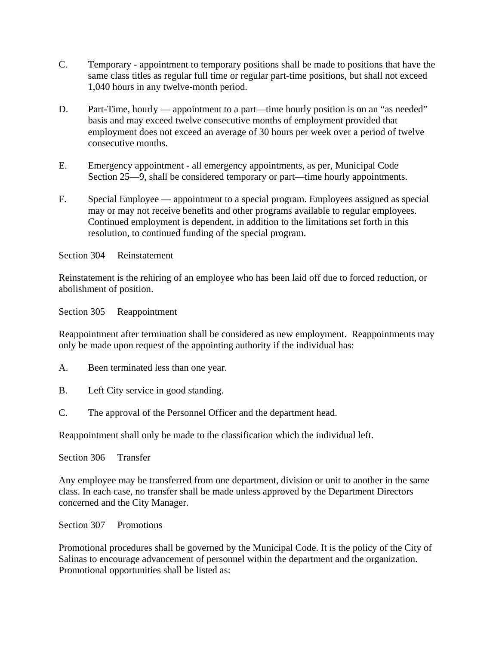- C. Temporary appointment to temporary positions shall be made to positions that have the same class titles as regular full time or regular part-time positions, but shall not exceed 1,040 hours in any twelve-month period.
- D. Part-Time, hourly appointment to a part—time hourly position is on an "as needed" basis and may exceed twelve consecutive months of employment provided that employment does not exceed an average of 30 hours per week over a period of twelve consecutive months.
- E. Emergency appointment all emergency appointments, as per, Municipal Code Section 25—9, shall be considered temporary or part—time hourly appointments.
- F. Special Employee appointment to a special program. Employees assigned as special may or may not receive benefits and other programs available to regular employees. Continued employment is dependent, in addition to the limitations set forth in this resolution, to continued funding of the special program.

Section 304 Reinstatement

Reinstatement is the rehiring of an employee who has been laid off due to forced reduction, or abolishment of position.

Section 305 Reappointment

Reappointment after termination shall be considered as new employment. Reappointments may only be made upon request of the appointing authority if the individual has:

- A. Been terminated less than one year.
- B. Left City service in good standing.
- C. The approval of the Personnel Officer and the department head.

Reappointment shall only be made to the classification which the individual left.

Section 306 Transfer

Any employee may be transferred from one department, division or unit to another in the same class. In each case, no transfer shall be made unless approved by the Department Directors concerned and the City Manager.

Section 307 Promotions

Promotional procedures shall be governed by the Municipal Code. It is the policy of the City of Salinas to encourage advancement of personnel within the department and the organization. Promotional opportunities shall be listed as: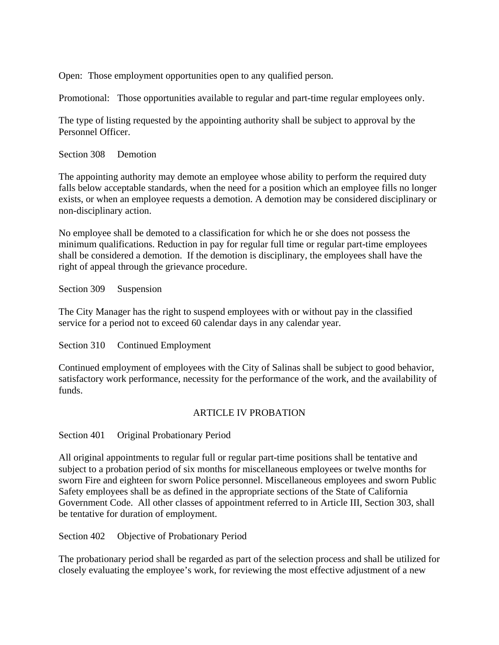Open: Those employment opportunities open to any qualified person.

Promotional: Those opportunities available to regular and part-time regular employees only.

The type of listing requested by the appointing authority shall be subject to approval by the Personnel Officer.

Section 308 Demotion

The appointing authority may demote an employee whose ability to perform the required duty falls below acceptable standards, when the need for a position which an employee fills no longer exists, or when an employee requests a demotion. A demotion may be considered disciplinary or non-disciplinary action.

No employee shall be demoted to a classification for which he or she does not possess the minimum qualifications. Reduction in pay for regular full time or regular part-time employees shall be considered a demotion. If the demotion is disciplinary, the employees shall have the right of appeal through the grievance procedure.

Section 309 Suspension

The City Manager has the right to suspend employees with or without pay in the classified service for a period not to exceed 60 calendar days in any calendar year.

Section 310 Continued Employment

Continued employment of employees with the City of Salinas shall be subject to good behavior, satisfactory work performance, necessity for the performance of the work, and the availability of funds.

### ARTICLE IV PROBATION

Section 401 Original Probationary Period

All original appointments to regular full or regular part-time positions shall be tentative and subject to a probation period of six months for miscellaneous employees or twelve months for sworn Fire and eighteen for sworn Police personnel. Miscellaneous employees and sworn Public Safety employees shall be as defined in the appropriate sections of the State of California Government Code. All other classes of appointment referred to in Article III, Section 303, shall be tentative for duration of employment.

Section 402 Objective of Probationary Period

The probationary period shall be regarded as part of the selection process and shall be utilized for closely evaluating the employee's work, for reviewing the most effective adjustment of a new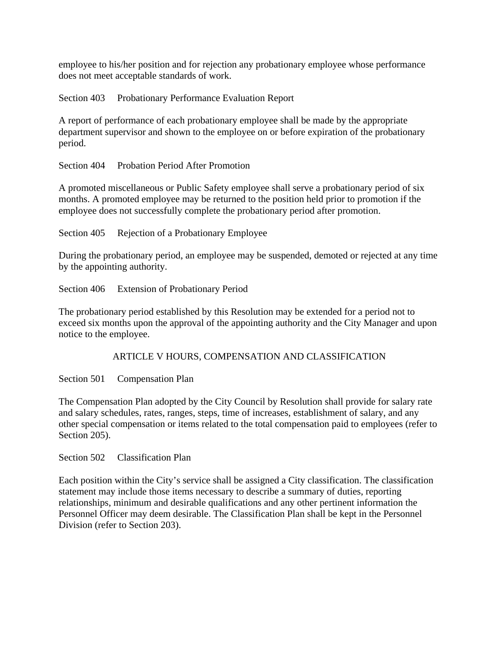employee to his/her position and for rejection any probationary employee whose performance does not meet acceptable standards of work.

Section 403 Probationary Performance Evaluation Report

A report of performance of each probationary employee shall be made by the appropriate department supervisor and shown to the employee on or before expiration of the probationary period.

Section 404 Probation Period After Promotion

A promoted miscellaneous or Public Safety employee shall serve a probationary period of six months. A promoted employee may be returned to the position held prior to promotion if the employee does not successfully complete the probationary period after promotion.

Section 405 Rejection of a Probationary Employee

During the probationary period, an employee may be suspended, demoted or rejected at any time by the appointing authority.

Section 406 Extension of Probationary Period

The probationary period established by this Resolution may be extended for a period not to exceed six months upon the approval of the appointing authority and the City Manager and upon notice to the employee.

ARTICLE V HOURS, COMPENSATION AND CLASSIFICATION

Section 501 Compensation Plan

The Compensation Plan adopted by the City Council by Resolution shall provide for salary rate and salary schedules, rates, ranges, steps, time of increases, establishment of salary, and any other special compensation or items related to the total compensation paid to employees (refer to Section 205).

Section 502 Classification Plan

Each position within the City's service shall be assigned a City classification. The classification statement may include those items necessary to describe a summary of duties, reporting relationships, minimum and desirable qualifications and any other pertinent information the Personnel Officer may deem desirable. The Classification Plan shall be kept in the Personnel Division (refer to Section 203).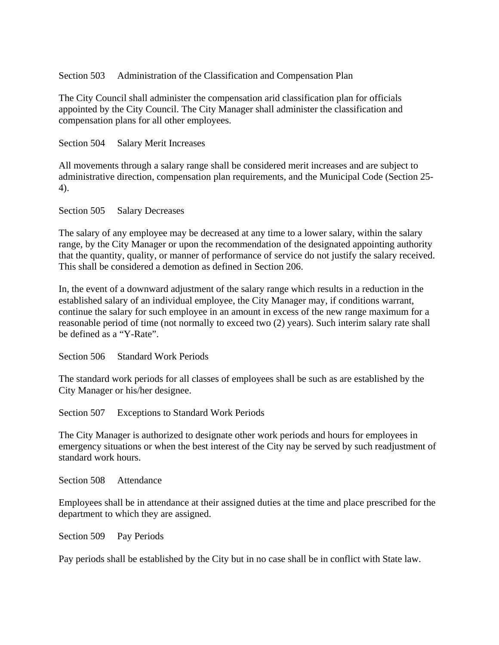### Section 503 Administration of the Classification and Compensation Plan

The City Council shall administer the compensation arid classification plan for officials appointed by the City Council. The City Manager shall administer the classification and compensation plans for all other employees.

Section 504 Salary Merit Increases

All movements through a salary range shall be considered merit increases and are subject to administrative direction, compensation plan requirements, and the Municipal Code (Section 25- 4).

Section 505 Salary Decreases

The salary of any employee may be decreased at any time to a lower salary, within the salary range, by the City Manager or upon the recommendation of the designated appointing authority that the quantity, quality, or manner of performance of service do not justify the salary received. This shall be considered a demotion as defined in Section 206.

In, the event of a downward adjustment of the salary range which results in a reduction in the established salary of an individual employee, the City Manager may, if conditions warrant, continue the salary for such employee in an amount in excess of the new range maximum for a reasonable period of time (not normally to exceed two (2) years). Such interim salary rate shall be defined as a "Y-Rate".

Section 506 Standard Work Periods

The standard work periods for all classes of employees shall be such as are established by the City Manager or his/her designee.

Section 507 Exceptions to Standard Work Periods

The City Manager is authorized to designate other work periods and hours for employees in emergency situations or when the best interest of the City nay be served by such readjustment of standard work hours.

Section 508 Attendance

Employees shall be in attendance at their assigned duties at the time and place prescribed for the department to which they are assigned.

Section 509 Pay Periods

Pay periods shall be established by the City but in no case shall be in conflict with State law.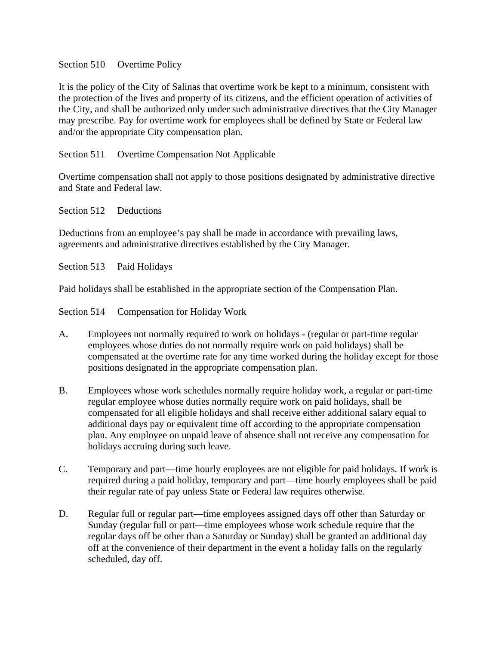### Section 510 Overtime Policy

It is the policy of the City of Salinas that overtime work be kept to a minimum, consistent with the protection of the lives and property of its citizens, and the efficient operation of activities of the City, and shall be authorized only under such administrative directives that the City Manager may prescribe. Pay for overtime work for employees shall be defined by State or Federal law and/or the appropriate City compensation plan.

## Section 511 Overtime Compensation Not Applicable

Overtime compensation shall not apply to those positions designated by administrative directive and State and Federal law.

Section 512 Deductions

Deductions from an employee's pay shall be made in accordance with prevailing laws, agreements and administrative directives established by the City Manager.

Section 513 Paid Holidays

Paid holidays shall be established in the appropriate section of the Compensation Plan.

Section 514 Compensation for Holiday Work

- A. Employees not normally required to work on holidays (regular or part-time regular employees whose duties do not normally require work on paid holidays) shall be compensated at the overtime rate for any time worked during the holiday except for those positions designated in the appropriate compensation plan.
- B. Employees whose work schedules normally require holiday work, a regular or part-time regular employee whose duties normally require work on paid holidays, shall be compensated for all eligible holidays and shall receive either additional salary equal to additional days pay or equivalent time off according to the appropriate compensation plan. Any employee on unpaid leave of absence shall not receive any compensation for holidays accruing during such leave.
- C. Temporary and part—time hourly employees are not eligible for paid holidays. If work is required during a paid holiday, temporary and part—time hourly employees shall be paid their regular rate of pay unless State or Federal law requires otherwise.
- D. Regular full or regular part—time employees assigned days off other than Saturday or Sunday (regular full or part—time employees whose work schedule require that the regular days off be other than a Saturday or Sunday) shall be granted an additional day off at the convenience of their department in the event a holiday falls on the regularly scheduled, day off.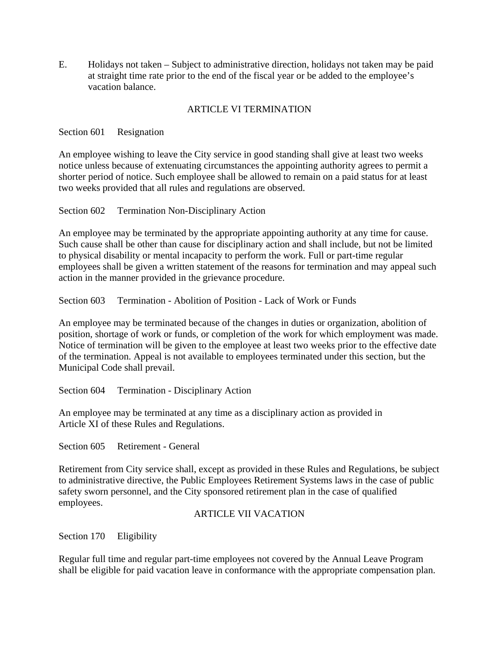E. Holidays not taken – Subject to administrative direction, holidays not taken may be paid at straight time rate prior to the end of the fiscal year or be added to the employee's vacation balance.

## ARTICLE VI TERMINATION

Section 601 Resignation

An employee wishing to leave the City service in good standing shall give at least two weeks notice unless because of extenuating circumstances the appointing authority agrees to permit a shorter period of notice. Such employee shall be allowed to remain on a paid status for at least two weeks provided that all rules and regulations are observed.

Section 602 Termination Non-Disciplinary Action

An employee may be terminated by the appropriate appointing authority at any time for cause. Such cause shall be other than cause for disciplinary action and shall include, but not be limited to physical disability or mental incapacity to perform the work. Full or part-time regular employees shall be given a written statement of the reasons for termination and may appeal such action in the manner provided in the grievance procedure.

Section 603 Termination - Abolition of Position - Lack of Work or Funds

An employee may be terminated because of the changes in duties or organization, abolition of position, shortage of work or funds, or completion of the work for which employment was made. Notice of termination will be given to the employee at least two weeks prior to the effective date of the termination. Appeal is not available to employees terminated under this section, but the Municipal Code shall prevail.

Section 604 Termination - Disciplinary Action

An employee may be terminated at any time as a disciplinary action as provided in Article XI of these Rules and Regulations.

Section 605 Retirement - General

Retirement from City service shall, except as provided in these Rules and Regulations, be subject to administrative directive, the Public Employees Retirement Systems laws in the case of public safety sworn personnel, and the City sponsored retirement plan in the case of qualified employees.

### ARTICLE VII VACATION

Section 170 Eligibility

Regular full time and regular part-time employees not covered by the Annual Leave Program shall be eligible for paid vacation leave in conformance with the appropriate compensation plan.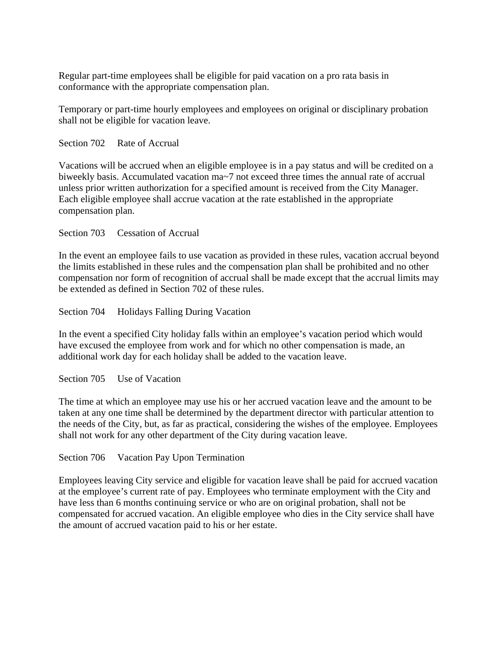Regular part-time employees shall be eligible for paid vacation on a pro rata basis in conformance with the appropriate compensation plan.

Temporary or part-time hourly employees and employees on original or disciplinary probation shall not be eligible for vacation leave.

Section 702 Rate of Accrual

Vacations will be accrued when an eligible employee is in a pay status and will be credited on a biweekly basis. Accumulated vacation ma~7 not exceed three times the annual rate of accrual unless prior written authorization for a specified amount is received from the City Manager. Each eligible employee shall accrue vacation at the rate established in the appropriate compensation plan.

### Section 703 Cessation of Accrual

In the event an employee fails to use vacation as provided in these rules, vacation accrual beyond the limits established in these rules and the compensation plan shall be prohibited and no other compensation nor form of recognition of accrual shall be made except that the accrual limits may be extended as defined in Section 702 of these rules.

Section 704 Holidays Falling During Vacation

In the event a specified City holiday falls within an employee's vacation period which would have excused the employee from work and for which no other compensation is made, an additional work day for each holiday shall be added to the vacation leave.

Section 705 Use of Vacation

The time at which an employee may use his or her accrued vacation leave and the amount to be taken at any one time shall be determined by the department director with particular attention to the needs of the City, but, as far as practical, considering the wishes of the employee. Employees shall not work for any other department of the City during vacation leave.

Section 706 Vacation Pay Upon Termination

Employees leaving City service and eligible for vacation leave shall be paid for accrued vacation at the employee's current rate of pay. Employees who terminate employment with the City and have less than 6 months continuing service or who are on original probation, shall not be compensated for accrued vacation. An eligible employee who dies in the City service shall have the amount of accrued vacation paid to his or her estate.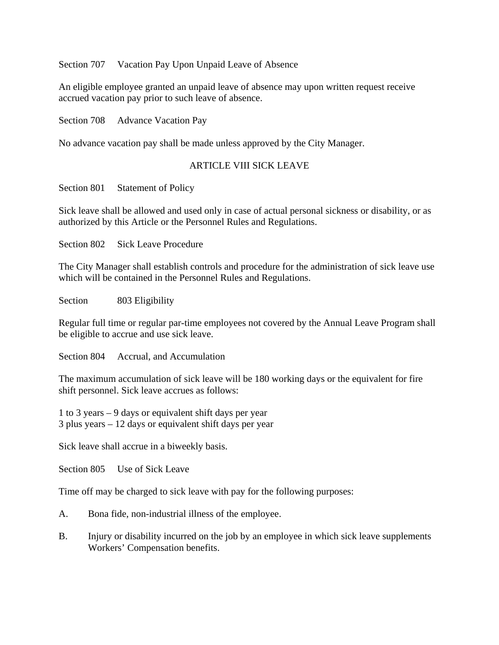Section 707 Vacation Pay Upon Unpaid Leave of Absence

An eligible employee granted an unpaid leave of absence may upon written request receive accrued vacation pay prior to such leave of absence.

Section 708 Advance Vacation Pay

No advance vacation pay shall be made unless approved by the City Manager.

## ARTICLE VIII SICK LEAVE

Section 801 Statement of Policy

Sick leave shall be allowed and used only in case of actual personal sickness or disability, or as authorized by this Article or the Personnel Rules and Regulations.

Section 802 Sick Leave Procedure

The City Manager shall establish controls and procedure for the administration of sick leave use which will be contained in the Personnel Rules and Regulations.

Section 803 Eligibility

Regular full time or regular par-time employees not covered by the Annual Leave Program shall be eligible to accrue and use sick leave.

Section 804 Accrual, and Accumulation

The maximum accumulation of sick leave will be 180 working days or the equivalent for fire shift personnel. Sick leave accrues as follows:

1 to 3 years – 9 days or equivalent shift days per year 3 plus years – 12 days or equivalent shift days per year

Sick leave shall accrue in a biweekly basis.

Section 805 Use of Sick Leave

Time off may be charged to sick leave with pay for the following purposes:

- A. Bona fide, non-industrial illness of the employee.
- B. Injury or disability incurred on the job by an employee in which sick leave supplements Workers' Compensation benefits.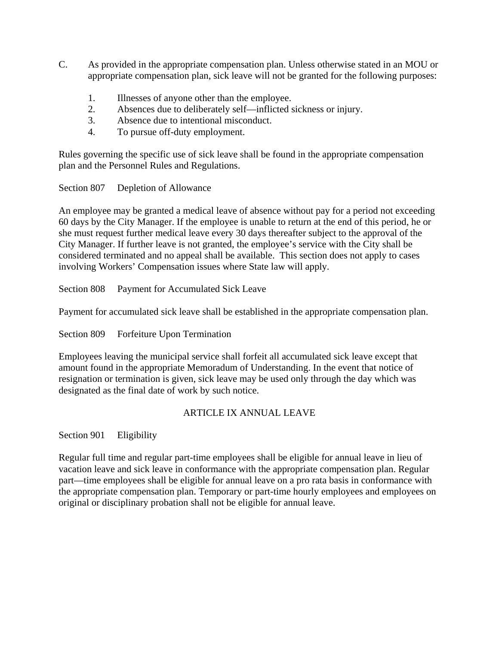- C. As provided in the appropriate compensation plan. Unless otherwise stated in an MOU or appropriate compensation plan, sick leave will not be granted for the following purposes:
	- 1. Illnesses of anyone other than the employee.
	- 2. Absences due to deliberately self—inflicted sickness or injury.
	- 3. Absence due to intentional misconduct.
	- 4. To pursue off-duty employment.

Rules governing the specific use of sick leave shall be found in the appropriate compensation plan and the Personnel Rules and Regulations.

Section 807 Depletion of Allowance

An employee may be granted a medical leave of absence without pay for a period not exceeding 60 days by the City Manager. If the employee is unable to return at the end of this period, he or she must request further medical leave every 30 days thereafter subject to the approval of the City Manager. If further leave is not granted, the employee's service with the City shall be considered terminated and no appeal shall be available. This section does not apply to cases involving Workers' Compensation issues where State law will apply.

Section 808 Payment for Accumulated Sick Leave

Payment for accumulated sick leave shall be established in the appropriate compensation plan.

Section 809 Forfeiture Upon Termination

Employees leaving the municipal service shall forfeit all accumulated sick leave except that amount found in the appropriate Memoradum of Understanding. In the event that notice of resignation or termination is given, sick leave may be used only through the day which was designated as the final date of work by such notice.

### ARTICLE IX ANNUAL LEAVE

Section 901 Eligibility

Regular full time and regular part-time employees shall be eligible for annual leave in lieu of vacation leave and sick leave in conformance with the appropriate compensation plan. Regular part—time employees shall be eligible for annual leave on a pro rata basis in conformance with the appropriate compensation plan. Temporary or part-time hourly employees and employees on original or disciplinary probation shall not be eligible for annual leave.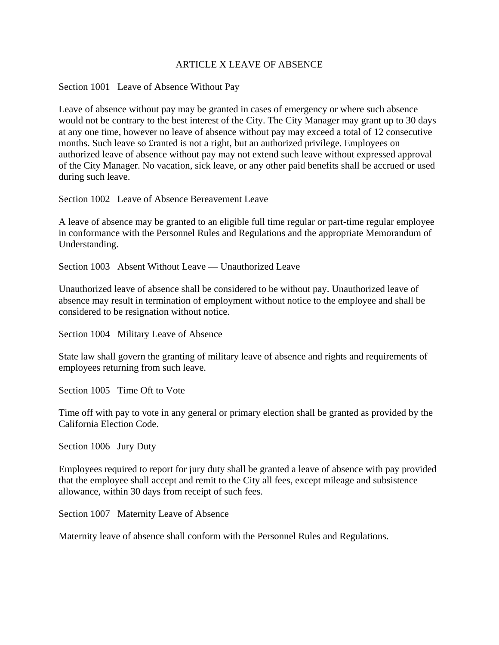### ARTICLE X LEAVE OF ABSENCE

#### Section 1001 Leave of Absence Without Pay

Leave of absence without pay may be granted in cases of emergency or where such absence would not be contrary to the best interest of the City. The City Manager may grant up to 30 days at any one time, however no leave of absence without pay may exceed a total of 12 consecutive months. Such leave so £ranted is not a right, but an authorized privilege. Employees on authorized leave of absence without pay may not extend such leave without expressed approval of the City Manager. No vacation, sick leave, or any other paid benefits shall be accrued or used during such leave.

Section 1002 Leave of Absence Bereavement Leave

A leave of absence may be granted to an eligible full time regular or part-time regular employee in conformance with the Personnel Rules and Regulations and the appropriate Memorandum of Understanding.

Section 1003 Absent Without Leave — Unauthorized Leave

Unauthorized leave of absence shall be considered to be without pay. Unauthorized leave of absence may result in termination of employment without notice to the employee and shall be considered to be resignation without notice.

Section 1004 Military Leave of Absence

State law shall govern the granting of military leave of absence and rights and requirements of employees returning from such leave.

Section 1005 Time Oft to Vote

Time off with pay to vote in any general or primary election shall be granted as provided by the California Election Code.

Section 1006 Jury Duty

Employees required to report for jury duty shall be granted a leave of absence with pay provided that the employee shall accept and remit to the City all fees, except mileage and subsistence allowance, within 30 days from receipt of such fees.

Section 1007 Maternity Leave of Absence

Maternity leave of absence shall conform with the Personnel Rules and Regulations.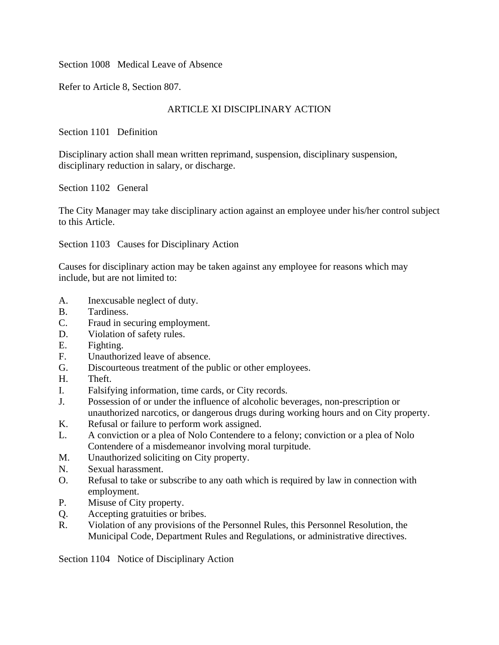Section 1008 Medical Leave of Absence

Refer to Article 8, Section 807.

# ARTICLE XI DISCIPLINARY ACTION

Section 1101 Definition

Disciplinary action shall mean written reprimand, suspension, disciplinary suspension, disciplinary reduction in salary, or discharge.

Section 1102 General

The City Manager may take disciplinary action against an employee under his/her control subject to this Article.

Section 1103 Causes for Disciplinary Action

Causes for disciplinary action may be taken against any employee for reasons which may include, but are not limited to:

- A. Inexcusable neglect of duty.
- B. Tardiness.
- C. Fraud in securing employment.
- D. Violation of safety rules.
- E. Fighting.
- F. Unauthorized leave of absence.
- G. Discourteous treatment of the public or other employees.
- H. Theft.
- I. Falsifying information, time cards, or City records.
- J. Possession of or under the influence of alcoholic beverages, non-prescription or unauthorized narcotics, or dangerous drugs during working hours and on City property.
- K. Refusal or failure to perform work assigned.
- L. A conviction or a plea of Nolo Contendere to a felony; conviction or a plea of Nolo Contendere of a misdemeanor involving moral turpitude.
- M. Unauthorized soliciting on City property.
- N. Sexual harassment.
- O. Refusal to take or subscribe to any oath which is required by law in connection with employment.
- P. Misuse of City property.
- Q. Accepting gratuities or bribes.
- R. Violation of any provisions of the Personnel Rules, this Personnel Resolution, the Municipal Code, Department Rules and Regulations, or administrative directives.

Section 1104 Notice of Disciplinary Action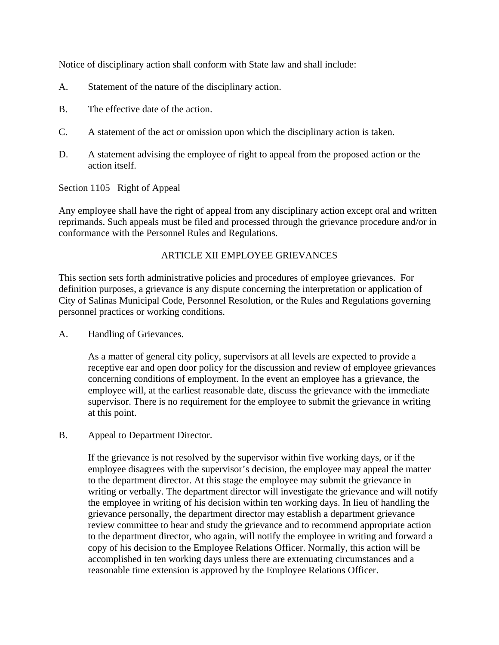Notice of disciplinary action shall conform with State law and shall include:

- A. Statement of the nature of the disciplinary action.
- B. The effective date of the action.
- C. A statement of the act or omission upon which the disciplinary action is taken.
- D. A statement advising the employee of right to appeal from the proposed action or the action itself.

Section 1105 Right of Appeal

Any employee shall have the right of appeal from any disciplinary action except oral and written reprimands. Such appeals must be filed and processed through the grievance procedure and/or in conformance with the Personnel Rules and Regulations.

# ARTICLE XII EMPLOYEE GRIEVANCES

This section sets forth administrative policies and procedures of employee grievances. For definition purposes, a grievance is any dispute concerning the interpretation or application of City of Salinas Municipal Code, Personnel Resolution, or the Rules and Regulations governing personnel practices or working conditions.

A. Handling of Grievances.

As a matter of general city policy, supervisors at all levels are expected to provide a receptive ear and open door policy for the discussion and review of employee grievances concerning conditions of employment. In the event an employee has a grievance, the employee will, at the earliest reasonable date, discuss the grievance with the immediate supervisor. There is no requirement for the employee to submit the grievance in writing at this point.

B. Appeal to Department Director.

If the grievance is not resolved by the supervisor within five working days, or if the employee disagrees with the supervisor's decision, the employee may appeal the matter to the department director. At this stage the employee may submit the grievance in writing or verbally. The department director will investigate the grievance and will notify the employee in writing of his decision within ten working days. In lieu of handling the grievance personally, the department director may establish a department grievance review committee to hear and study the grievance and to recommend appropriate action to the department director, who again, will notify the employee in writing and forward a copy of his decision to the Employee Relations Officer. Normally, this action will be accomplished in ten working days unless there are extenuating circumstances and a reasonable time extension is approved by the Employee Relations Officer.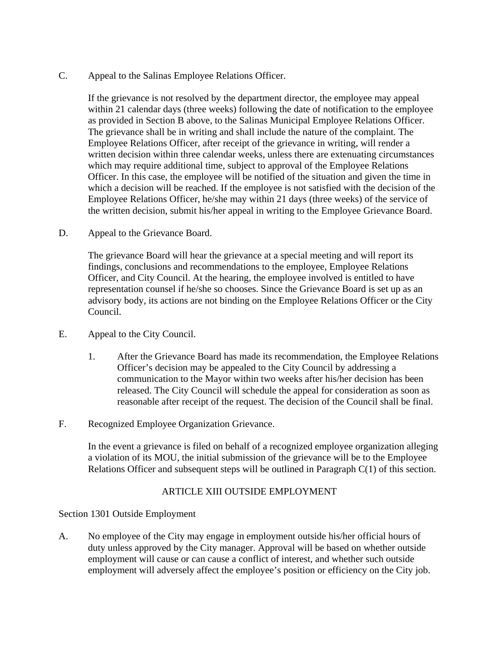C. Appeal to the Salinas Employee Relations Officer.

If the grievance is not resolved by the department director, the employee may appeal within 21 calendar days (three weeks) following the date of notification to the employee as provided in Section B above, to the Salinas Municipal Employee Relations Officer. The grievance shall be in writing and shall include the nature of the complaint. The Employee Relations Officer, after receipt of the grievance in writing, will render a written decision within three calendar weeks, unless there are extenuating circumstances which may require additional time, subject to approval of the Employee Relations Officer. In this case, the employee will be notified of the situation and given the time in which a decision will be reached. If the employee is not satisfied with the decision of the Employee Relations Officer, he/she may within 21 days (three weeks) of the service of the written decision, submit his/her appeal in writing to the Employee Grievance Board.

D. Appeal to the Grievance Board.

The grievance Board will hear the grievance at a special meeting and will report its findings, conclusions and recommendations to the employee, Employee Relations Officer, and City Council. At the hearing, the employee involved is entitled to have representation counsel if he/she so chooses. Since the Grievance Board is set up as an advisory body, its actions are not binding on the Employee Relations Officer or the City Council.

- E. Appeal to the City Council.
	- 1. After the Grievance Board has made its recommendation, the Employee Relations Officer's decision may be appealed to the City Council by addressing a communication to the Mayor within two weeks after his/her decision has been released. The City Council will schedule the appeal for consideration as soon as reasonable after receipt of the request. The decision of the Council shall be final.
- F. Recognized Employee Organization Grievance.

In the event a grievance is filed on behalf of a recognized employee organization alleging a violation of its MOU, the initial submission of the grievance will be to the Employee Relations Officer and subsequent steps will be outlined in Paragraph C(1) of this section.

## ARTICLE XIII OUTSIDE EMPLOYMENT

### Section 1301 Outside Employment

A. No employee of the City may engage in employment outside his/her official hours of duty unless approved by the City manager. Approval will be based on whether outside employment will cause or can cause a conflict of interest, and whether such outside employment will adversely affect the employee's position or efficiency on the City job.